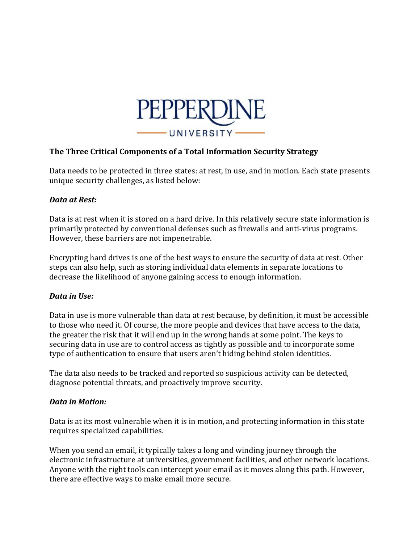

## **The Three Critical Components of a Total Information Security Strategy**

Data needs to be protected in three states: at rest, in use, and in motion. Each state presents unique security challenges, as listed below:

## *Data at Rest:*

Data is at rest when it is stored on a hard drive. In this relatively secure state information is primarily protected by conventional defenses such as firewalls and anti-virus programs. However, these barriers are not impenetrable.

Encrypting hard drives is one of the best ways to ensure the security of data at rest. Other steps can also help, such as storing individual data elements in separate locations to decrease the likelihood of anyone gaining access to enough information.

## *Data in Use:*

Data in use is more vulnerable than data at rest because, by definition, it must be accessible to those who need it. Of course, the more people and devices that have access to the data, the greater the risk that it will end up in the wrong hands at some point. The keys to securing data in use are to control access as tightly as possible and to incorporate some type of authentication to ensure that users aren't hiding behind stolen identities.

The data also needs to be tracked and reported so suspicious activity can be detected, diagnose potential threats, and proactively improve security.

## *Data in Motion:*

Data is at its most vulnerable when it is in motion, and protecting information in this state requires specialized capabilities.

When you send an email, it typically takes a long and winding journey through the electronic infrastructure at universities, government facilities, and other network locations. Anyone with the right tools can intercept your email as it moves along this path. However, there are effective ways to make email more secure.